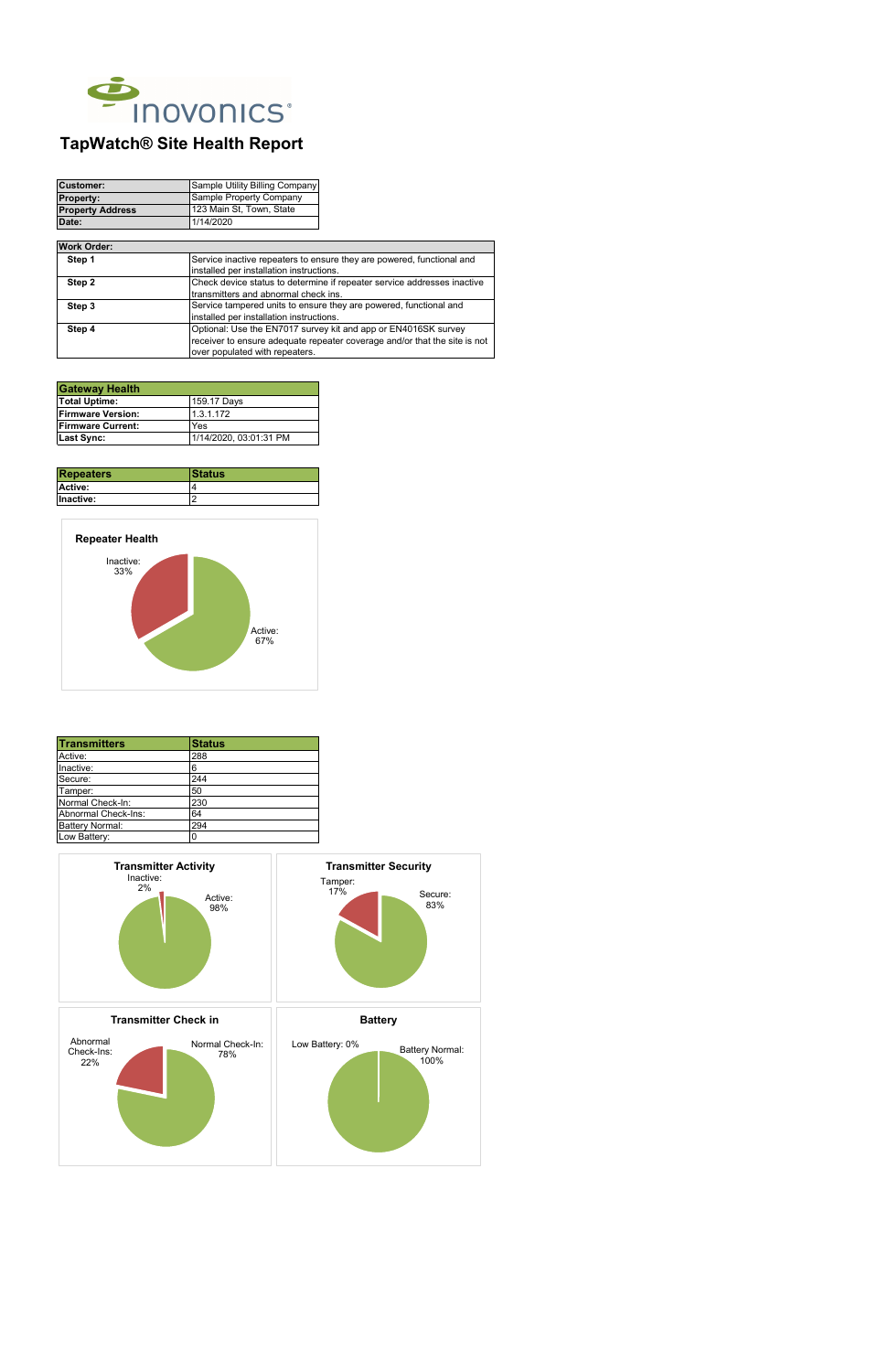| <b>Customer:</b>        | Sample Utility Billing Company |  |  |  |
|-------------------------|--------------------------------|--|--|--|
| <b>Property:</b>        | Sample Property Company        |  |  |  |
| <b>Property Address</b> | 123 Main St, Town, State       |  |  |  |
| Date:                   | 1/14/2020                      |  |  |  |

| <b>Repeaters</b> | <b>IStatus</b> |  |  |  |
|------------------|----------------|--|--|--|
| <b>Active:</b>   |                |  |  |  |
| Inactive:        |                |  |  |  |

| <b>Transmitters</b>    | <b>Status</b> |  |  |  |
|------------------------|---------------|--|--|--|
| Active:                | 288           |  |  |  |
| Inactive:              | 6             |  |  |  |
| Secure:                | 244           |  |  |  |
| Tamper:                | 50            |  |  |  |
| Normal Check-In:       | 230           |  |  |  |
| Abnormal Check-Ins:    | 64            |  |  |  |
| <b>Battery Normal:</b> | 294           |  |  |  |
| Low Battery:           | 0             |  |  |  |



| Step 1 | Service inactive repeaters to ensure they are powered, functional and     |  |  |
|--------|---------------------------------------------------------------------------|--|--|
|        | installed per installation instructions.                                  |  |  |
| Step 2 | Check device status to determine if repeater service addresses inactive   |  |  |
|        | transmitters and abnormal check ins.                                      |  |  |
| Step 3 | Service tampered units to ensure they are powered, functional and         |  |  |
|        | installed per installation instructions.                                  |  |  |
| Step 4 | Optional: Use the EN7017 survey kit and app or EN4016SK survey            |  |  |
|        | receiver to ensure adequate repeater coverage and/or that the site is not |  |  |
|        | over populated with repeaters.                                            |  |  |

| <b>Gateway Health</b>     |                        |
|---------------------------|------------------------|
| <b>Total Uptime:</b>      | 159.17 Days            |
| <b>IFirmware Version:</b> | 1.3.1.172              |
| <b>Firmware Current:</b>  | Yes                    |
| Last Sync:                | 1/14/2020, 03:01:31 PM |

## **Work Order:**